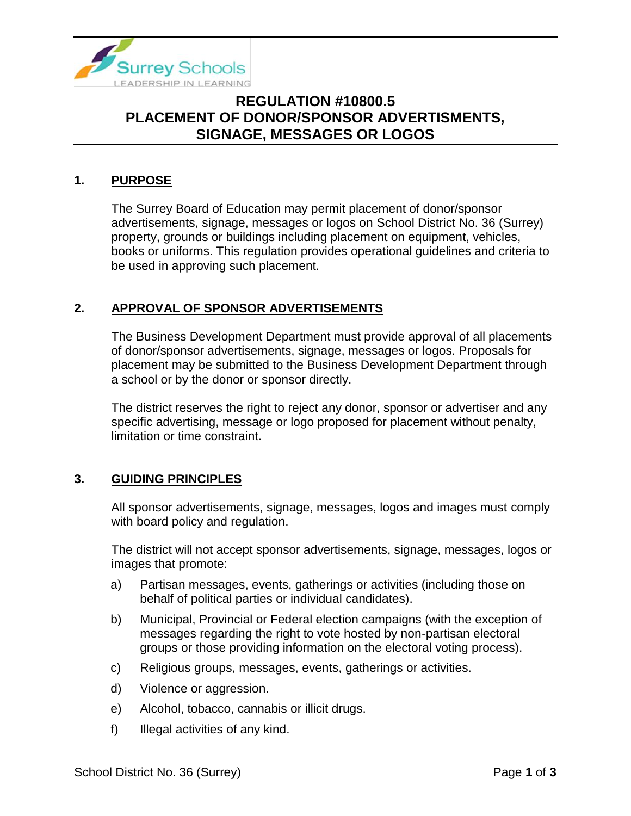

# **REGULATION #10800.5 PLACEMENT OF DONOR/SPONSOR ADVERTISMENTS, SIGNAGE, MESSAGES OR LOGOS**

### **1. PURPOSE**

The Surrey Board of Education may permit placement of donor/sponsor advertisements, signage, messages or logos on School District No. 36 (Surrey) property, grounds or buildings including placement on equipment, vehicles, books or uniforms. This regulation provides operational guidelines and criteria to be used in approving such placement.

#### **2. APPROVAL OF SPONSOR ADVERTISEMENTS**

The Business Development Department must provide approval of all placements of donor/sponsor advertisements, signage, messages or logos. Proposals for placement may be submitted to the Business Development Department through a school or by the donor or sponsor directly.

The district reserves the right to reject any donor, sponsor or advertiser and any specific advertising, message or logo proposed for placement without penalty, limitation or time constraint.

#### **3. GUIDING PRINCIPLES**

All sponsor advertisements, signage, messages, logos and images must comply with board policy and regulation.

The district will not accept sponsor advertisements, signage, messages, logos or images that promote:

- a) Partisan messages, events, gatherings or activities (including those on behalf of political parties or individual candidates).
- b) Municipal, Provincial or Federal election campaigns (with the exception of messages regarding the right to vote hosted by non-partisan electoral groups or those providing information on the electoral voting process).
- c) Religious groups, messages, events, gatherings or activities.
- d) Violence or aggression.
- e) Alcohol, tobacco, cannabis or illicit drugs.
- f) Illegal activities of any kind.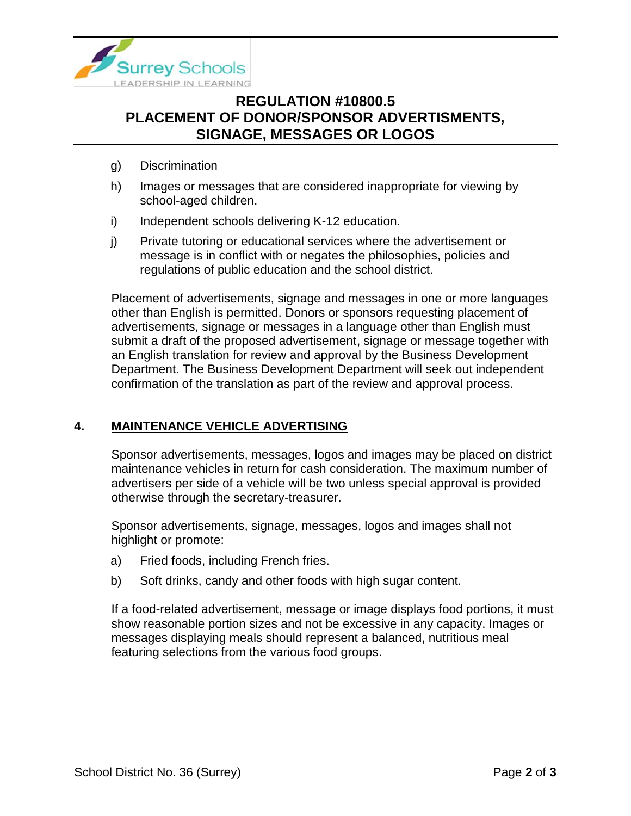

# **REGULATION #10800.5 PLACEMENT OF DONOR/SPONSOR ADVERTISMENTS, SIGNAGE, MESSAGES OR LOGOS**

- g) Discrimination
- h) Images or messages that are considered inappropriate for viewing by school-aged children.
- i) Independent schools delivering K-12 education.
- j) Private tutoring or educational services where the advertisement or message is in conflict with or negates the philosophies, policies and regulations of public education and the school district.

Placement of advertisements, signage and messages in one or more languages other than English is permitted. Donors or sponsors requesting placement of advertisements, signage or messages in a language other than English must submit a draft of the proposed advertisement, signage or message together with an English translation for review and approval by the Business Development Department. The Business Development Department will seek out independent confirmation of the translation as part of the review and approval process.

#### **4. MAINTENANCE VEHICLE ADVERTISING**

Sponsor advertisements, messages, logos and images may be placed on district maintenance vehicles in return for cash consideration. The maximum number of advertisers per side of a vehicle will be two unless special approval is provided otherwise through the secretary-treasurer.

Sponsor advertisements, signage, messages, logos and images shall not highlight or promote:

- a) Fried foods, including French fries.
- b) Soft drinks, candy and other foods with high sugar content.

If a food-related advertisement, message or image displays food portions, it must show reasonable portion sizes and not be excessive in any capacity. Images or messages displaying meals should represent a balanced, nutritious meal featuring selections from the various food groups.